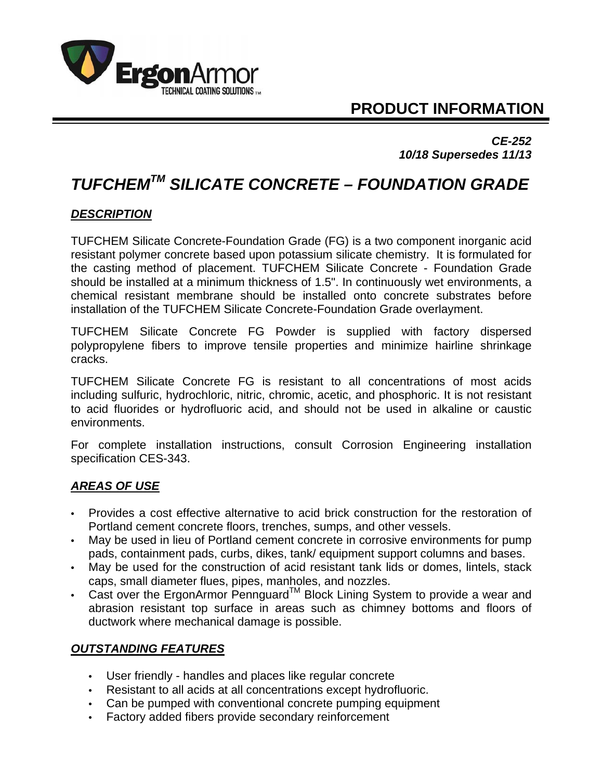

# **PRODUCT INFORMATION**

*CE-252 10/18 Supersedes 11/13* 

# *TUFCHEMTM SILICATE CONCRETE – FOUNDATION GRADE*

#### *DESCRIPTION*

TUFCHEM Silicate Concrete-Foundation Grade (FG) is a two component inorganic acid resistant polymer concrete based upon potassium silicate chemistry. It is formulated for the casting method of placement. TUFCHEM Silicate Concrete - Foundation Grade should be installed at a minimum thickness of 1.5". In continuously wet environments, a chemical resistant membrane should be installed onto concrete substrates before installation of the TUFCHEM Silicate Concrete-Foundation Grade overlayment.

TUFCHEM Silicate Concrete FG Powder is supplied with factory dispersed polypropylene fibers to improve tensile properties and minimize hairline shrinkage cracks.

TUFCHEM Silicate Concrete FG is resistant to all concentrations of most acids including sulfuric, hydrochloric, nitric, chromic, acetic, and phosphoric. It is not resistant to acid fluorides or hydrofluoric acid, and should not be used in alkaline or caustic environments.

For complete installation instructions, consult Corrosion Engineering installation specification CES-343.

#### *AREAS OF USE*

- Provides a cost effective alternative to acid brick construction for the restoration of Portland cement concrete floors, trenches, sumps, and other vessels.
- May be used in lieu of Portland cement concrete in corrosive environments for pump pads, containment pads, curbs, dikes, tank/ equipment support columns and bases.
- May be used for the construction of acid resistant tank lids or domes, lintels, stack caps, small diameter flues, pipes, manholes, and nozzles.
- Cast over the ErgonArmor Pennguard<sup>TM</sup> Block Lining System to provide a wear and abrasion resistant top surface in areas such as chimney bottoms and floors of ductwork where mechanical damage is possible.

## *OUTSTANDING FEATURES*

- User friendly handles and places like regular concrete
- Resistant to all acids at all concentrations except hydrofluoric.
- Can be pumped with conventional concrete pumping equipment
- Factory added fibers provide secondary reinforcement